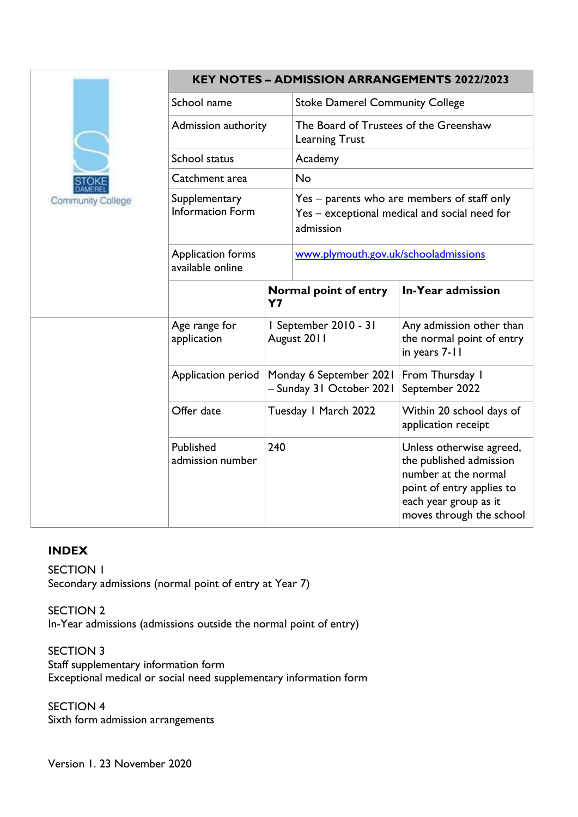|                          | <b>KEY NOTES - ADMISSION ARRANGEMENTS 2022/2023</b> |                                      |                                                                                                           |                                                                                                                                                               |  |
|--------------------------|-----------------------------------------------------|--------------------------------------|-----------------------------------------------------------------------------------------------------------|---------------------------------------------------------------------------------------------------------------------------------------------------------------|--|
|                          | School name                                         |                                      | <b>Stoke Damerel Community College</b>                                                                    |                                                                                                                                                               |  |
|                          | <b>Admission authority</b>                          |                                      | The Board of Trustees of the Greenshaw<br><b>Learning Trust</b>                                           |                                                                                                                                                               |  |
|                          | School status                                       |                                      | Academy                                                                                                   |                                                                                                                                                               |  |
|                          | Catchment area                                      |                                      | <b>No</b>                                                                                                 |                                                                                                                                                               |  |
| <b>Community College</b> | Supplementary<br><b>Information Form</b>            |                                      | Yes – parents who are members of staff only<br>Yes - exceptional medical and social need for<br>admission |                                                                                                                                                               |  |
|                          | <b>Application forms</b><br>available online        |                                      | www.plymouth.gov.uk/schooladmissions                                                                      |                                                                                                                                                               |  |
|                          |                                                     | Y <sub>7</sub>                       | Normal point of entry                                                                                     | <b>In-Year admission</b>                                                                                                                                      |  |
|                          | Age range for<br>application                        | I September 2010 - 31<br>August 2011 |                                                                                                           | Any admission other than<br>the normal point of entry<br>in years 7-11                                                                                        |  |
|                          | Application period                                  |                                      | Monday 6 September 2021<br>- Sunday 31 October 2021                                                       | From Thursday I<br>September 2022                                                                                                                             |  |
|                          | Offer date                                          |                                      | Tuesday I March 2022                                                                                      | Within 20 school days of<br>application receipt                                                                                                               |  |
|                          | Published<br>admission number                       | 240                                  |                                                                                                           | Unless otherwise agreed,<br>the published admission<br>number at the normal<br>point of entry applies to<br>each year group as it<br>moves through the school |  |

# **INDEX**

SECTION 1 Secondary admissions (normal point of entry at Year 7)

SECTION 2 In-Year admissions (admissions outside the normal point of entry)

SECTION 3 Staff supplementary information form Exceptional medical or social need supplementary information form

SECTION 4 Sixth form admission arrangements

Version 1. 23 November 2020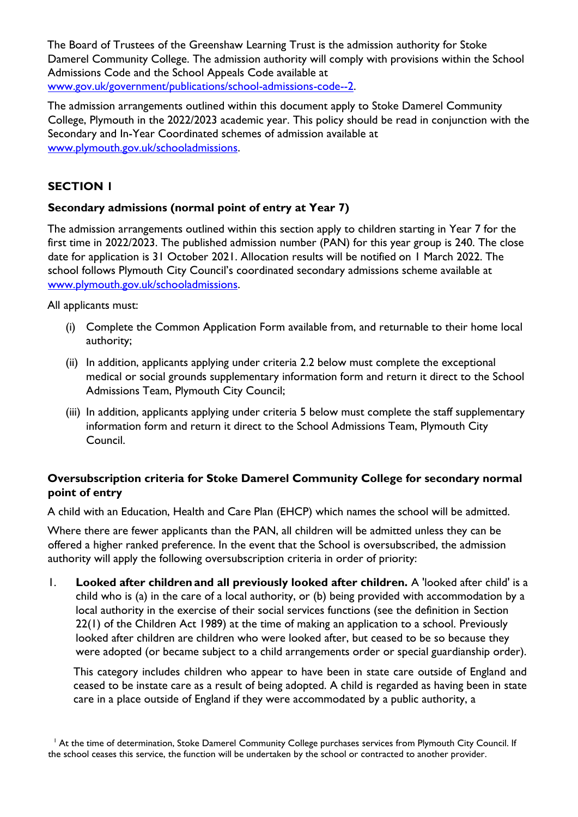The Board of Trustees of the Greenshaw Learning Trust is the admission authority for Stoke Damerel Community College. The admission authority will comply with provisions within the School Admissions Code and the School Appeals Code available at [www.gov.uk/government/publications/school-admissions-code--2](http://www.gov.uk/government/publications/school-admissions-code--2)[.](http://www.gov.uk/government/publications/school-admissions-code)

The admission arrangements outlined within this document apply to Stoke Damerel Community College, Plymouth in the 2022/2023 academic year. This policy should be read in conjunction with the Secondary and In-Year Coordinated schemes of admission available at [www.plymouth.gov.uk/schooladmissions.](http://www.plymouth.gov.uk/schooladmissions)

## **SECTION 1**

### **Secondary admissions (normal point of entry at Year 7)**

The admission arrangements outlined within this section apply to children starting in Year 7 for the first time in 2022/2023. The published admission number (PAN) for this year group is 240. The close date for application is 31 October 2021. Allocation results will be notified on 1 March 2022. The school follows Plymouth City Council's coordinated secondary admissions scheme available at [www.plymouth.gov.uk/schooladmissions.](http://www.plymouth.gov.uk/schooladmissions)

All applicants must:

- (i) Complete the Common Application Form available from, and returnable to their home local authority;
- (ii) In addition, applicants applying under criteria 2.2 below must complete the exceptional medical or social grounds supplementary information form and return it direct to the School Admissions Team, Plymouth City Council;
- (iii) In addition, applicants applying under criteria 5 below must complete the staff supplementary information form and return it direct to the School Admissions Team, Plymouth City Council.

### **Oversubscription criteria for Stoke Damerel Community College for secondary normal point of entry**

A child with an Education, Health and Care Plan (EHCP) which names the school will be admitted.

Where there are fewer applicants than the PAN, all children will be admitted unless they can be offered a higher ranked preference. In the event that the School is oversubscribed, the admission authority will apply the following oversubscription criteria in order of priority:

1. **Looked after children and all previously looked after children.** A 'looked after child' is a child who is (a) in the care of a local authority, or (b) being provided with accommodation by a local authority in the exercise of their social services functions (see the definition in Section 22(1) of the Children Act 1989) at the time of making an application to a school. Previously looked after children are children who were looked after, but ceased to be so because they were adopted (or became subject to a child arrangements order or special guardianship order).

This category includes children who appear to have been in state care outside of England and ceased to be instate care as a result of being adopted. A child is regarded as having been in state care in a place outside of England if they were accommodated by a public authority, a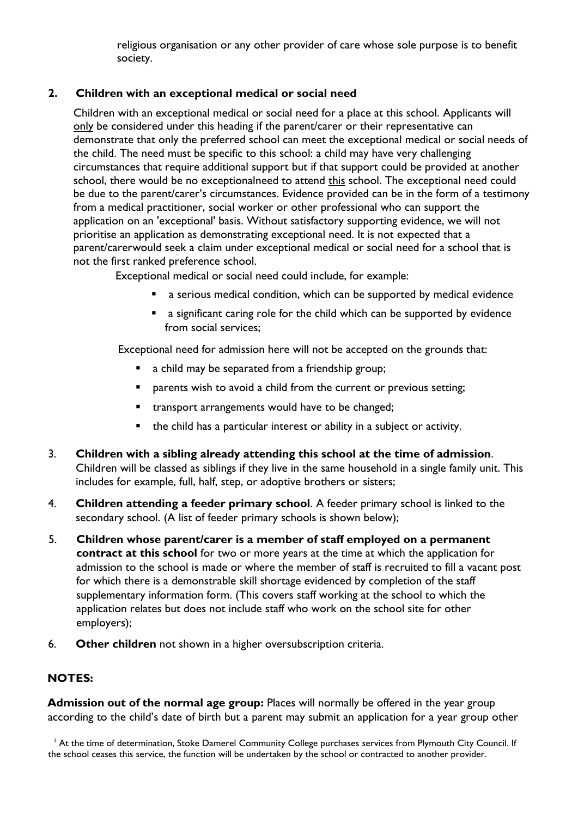religious organisation or any other provider of care whose sole purpose is to benefit society.

## **2. Children with an exceptional medical or social need**

Children with an exceptional medical or social need for a place at this school. Applicants will only be considered under this heading if the parent/carer or their representative can demonstrate that only the preferred school can meet the exceptional medical or social needs of the child. The need must be specific to this school: a child may have very challenging circumstances that require additional support but if that support could be provided at another school, there would be no exceptionalneed to attend this school. The exceptional need could be due to the parent/carer's circumstances. Evidence provided can be in the form of a testimony from a medical practitioner, social worker or other professional who can support the application on an 'exceptional' basis. Without satisfactory supporting evidence, we will not prioritise an application as demonstrating exceptional need. It is not expected that a parent/carerwould seek a claim under exceptional medical or social need for a school that is not the first ranked preference school.

Exceptional medical or social need could include, for example:

- a serious medical condition, which can be supported by medical evidence
- a significant caring role for the child which can be supported by evidence from social services;

Exceptional need for admission here will not be accepted on the grounds that:

- a child may be separated from a friendship group;
- **P** parents wish to avoid a child from the current or previous setting;
- transport arrangements would have to be changed;
- the child has a particular interest or ability in a subject or activity.
- 3. **Children with a sibling already attending this school at the time of admission**. Children will be classed as siblings if they live in the same household in a single family unit. This includes for example, full, half, step, or adoptive brothers or sisters;
- 4. **Children attending a feeder primary school**. A feeder primary school is linked to the secondary school. (A list of feeder primary schools is shown below);
- 5. **Children whose parent/carer is a member of staff employed on a permanent contract at this school** for two or more years at the time at which the application for admission to the school is made or where the member of staff is recruited to fill a vacant post for which there is a demonstrable skill shortage evidenced by completion of the staff supplementary information form. (This covers staff working at the school to which the application relates but does not include staff who work on the school site for other employers);
- 6. **Other children** not shown in a higher oversubscription criteria.

# **NOTES:**

**Admission out of the normal age group:** Places will normally be offered in the year group according to the child's date of birth but a parent may submit an application for a year group other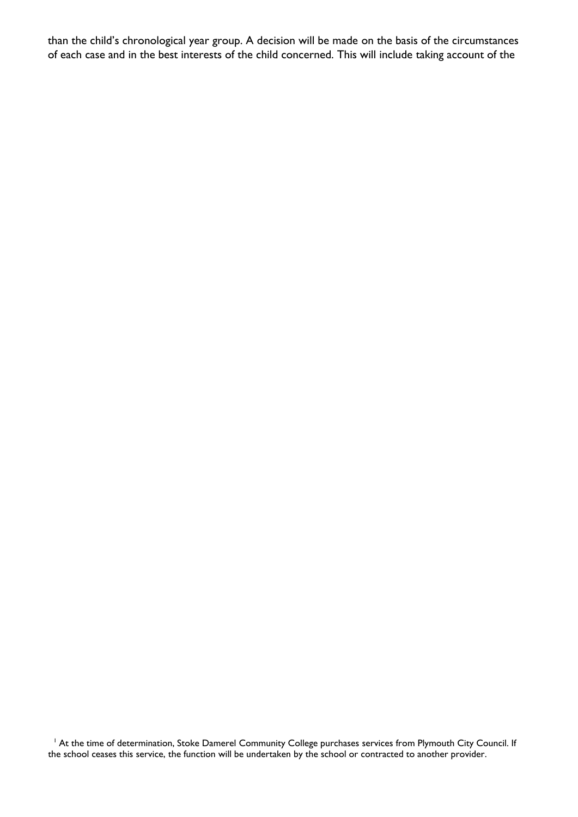than the child's chronological year group. A decision will be made on the basis of the circumstances of each case and in the best interests of the child concerned. This will include taking account of the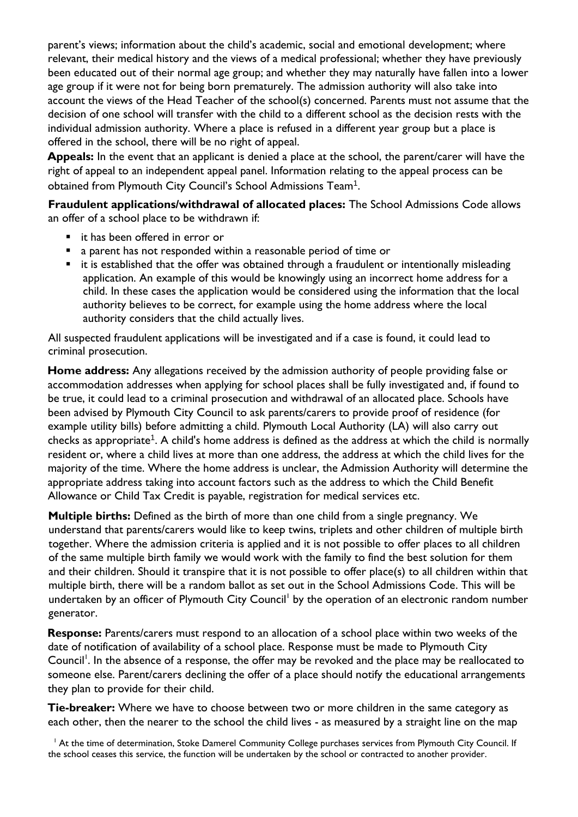parent's views; information about the child's academic, social and emotional development; where relevant, their medical history and the views of a medical professional; whether they have previously been educated out of their normal age group; and whether they may naturally have fallen into a lower age group if it were not for being born prematurely. The admission authority will also take into account the views of the Head Teacher of the school(s) concerned. Parents must not assume that the decision of one school will transfer with the child to a different school as the decision rests with the individual admission authority. Where a place is refused in a different year group but a place is offered in the school, there will be no right of appeal.

**Appeals:** In the event that an applicant is denied a place at the school, the parent/carer will have the right of appeal to an independent appeal panel. Information relating to the appeal process can be obtained from Plymouth City Council's School Admissions Team $^{\rm 1}$ .

**Fraudulent applications/withdrawal of allocated places:** The School Admissions Code allows an offer of a school place to be withdrawn if:

- it has been offered in error or
- a parent has not responded within a reasonable period of time or
- it is established that the offer was obtained through a fraudulent or intentionally misleading application. An example of this would be knowingly using an incorrect home address for a child. In these cases the application would be considered using the information that the local authority believes to be correct, for example using the home address where the local authority considers that the child actually lives.

All suspected fraudulent applications will be investigated and if a case is found, it could lead to criminal prosecution.

**Home address:** Any allegations received by the admission authority of people providing false or accommodation addresses when applying for school places shall be fully investigated and, if found to be true, it could lead to a criminal prosecution and withdrawal of an allocated place. Schools have been advised by Plymouth City Council to ask parents/carers to provide proof of residence (for example utility bills) before admitting a child. Plymouth Local Authority (LA) will also carry out checks as appropriate<sup>1</sup>. A child's home address is defined as the address at which the child is normally resident or, where a child lives at more than one address, the address at which the child lives for the majority of the time. Where the home address is unclear, the Admission Authority will determine the appropriate address taking into account factors such as the address to which the Child Benefit Allowance or Child Tax Credit is payable, registration for medical services etc.

**Multiple births:** Defined as the birth of more than one child from a single pregnancy. We understand that parents/carers would like to keep twins, triplets and other children of multiple birth together. Where the admission criteria is applied and it is not possible to offer places to all children of the same multiple birth family we would work with the family to find the best solution for them and their children. Should it transpire that it is not possible to offer place(s) to all children within that multiple birth, there will be a random ballot as set out in the School Admissions Code. This will be undertaken by an officer of Plymouth City Council<sup>1</sup> by the operation of an electronic random number generator.

**Response:** Parents/carers must respond to an allocation of a school place within two weeks of the date of notification of availability of a school place. Response must be made to Plymouth City Council<sup>1</sup>. In the absence of a response, the offer may be revoked and the place may be reallocated to someone else. Parent/carers declining the offer of a place should notify the educational arrangements they plan to provide for their child.

**Tie-breaker:** Where we have to choose between two or more children in the same category as each other, then the nearer to the school the child lives - as measured by a straight line on the map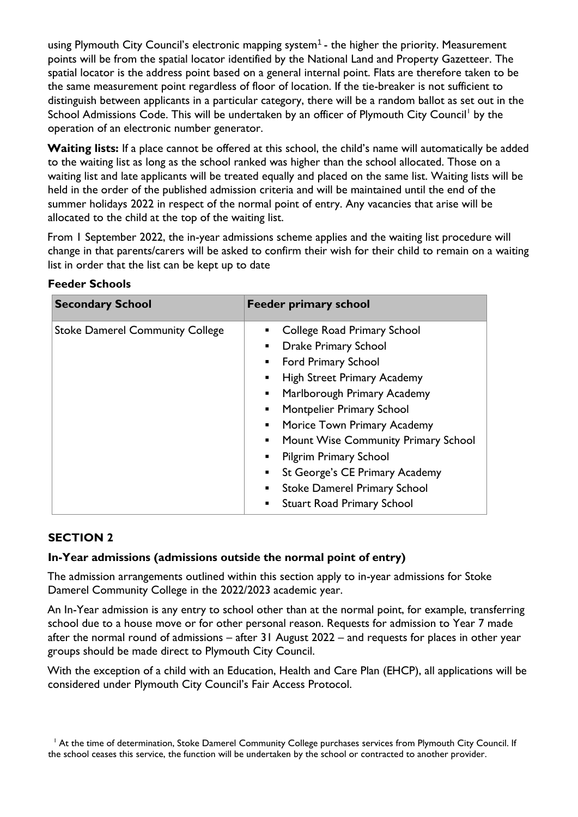using Plymouth City Council's electronic mapping system<sup>1</sup> - the higher the priority. Measurement points will be from the spatial locator identified by the National Land and Property Gazetteer. The spatial locator is the address point based on a general internal point. Flats are therefore taken to be the same measurement point regardless of floor of location. If the tie-breaker is not sufficient to distinguish between applicants in a particular category, there will be a random ballot as set out in the School Admissions Code. This will be undertaken by an officer of Plymouth City Council<sup>'</sup> by the operation of an electronic number generator.

Waiting lists: If a place cannot be offered at this school, the child's name will automatically be added to the waiting list as long as the school ranked was higher than the school allocated. Those on a waiting list and late applicants will be treated equally and placed on the same list. Waiting lists will be held in the order of the published admission criteria and will be maintained until the end of the summer holidays 2022 in respect of the normal point of entry. Any vacancies that arise will be allocated to the child at the top of the waiting list.

From 1 September 2022, the in-year admissions scheme applies and the waiting list procedure will change in that parents/carers will be asked to confirm their wish for their child to remain on a waiting list in order that the list can be kept up to date

| <b>Secondary School</b>                | <b>Feeder primary school</b>        |  |  |
|----------------------------------------|-------------------------------------|--|--|
| <b>Stoke Damerel Community College</b> | College Road Primary School         |  |  |
|                                        | <b>Drake Primary School</b>         |  |  |
|                                        | <b>Ford Primary School</b>          |  |  |
|                                        | <b>High Street Primary Academy</b>  |  |  |
|                                        | Marlborough Primary Academy         |  |  |
|                                        | <b>Montpelier Primary School</b>    |  |  |
|                                        | Morice Town Primary Academy         |  |  |
|                                        | Mount Wise Community Primary School |  |  |
|                                        | <b>Pilgrim Primary School</b>       |  |  |
|                                        | St George's CE Primary Academy      |  |  |
|                                        | <b>Stoke Damerel Primary School</b> |  |  |
|                                        | <b>Stuart Road Primary School</b>   |  |  |

**Feeder Schools**

# **SECTION 2**

### **In-Year admissions (admissions outside the normal point of entry)**

The admission arrangements outlined within this section apply to in-year admissions for Stoke Damerel Community College in the 2022/2023 academic year.

An In-Year admission is any entry to school other than at the normal point, for example, transferring school due to a house move or for other personal reason. Requests for admission to Year 7 made after the normal round of admissions – after 31 August 2022 – and requests for places in other year groups should be made direct to Plymouth City Council.

With the exception of a child with an Education, Health and Care Plan (EHCP), all applications will be considered under Plymouth City Council's Fair Access Protocol.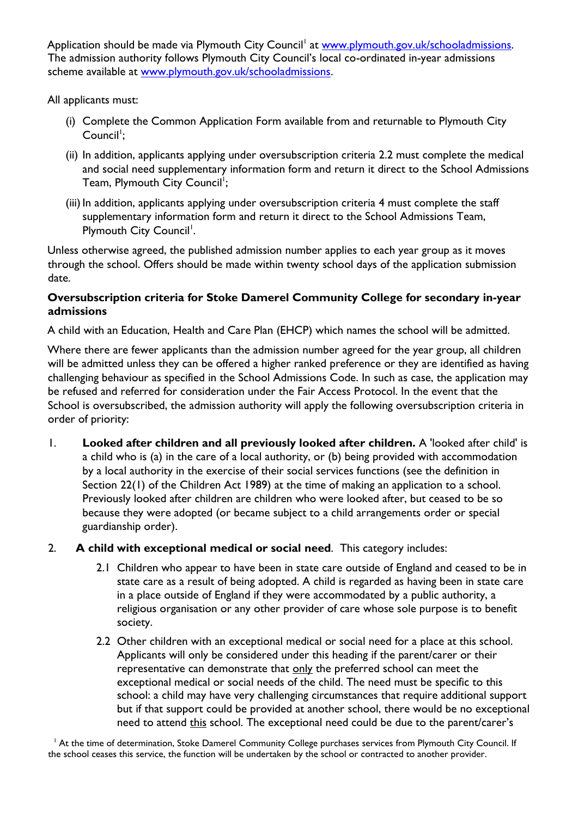Application should be made via Plymouth City Council<sup>l</sup> at <u>www.plymouth.gov.uk/schooladmissions</u>. The admission authority follows Plymouth City Council's local co-ordinated in-year admissions scheme available at [www.plymouth.gov.uk/schooladmissions.](http://www.plymouth.gov.uk/schooladmissions)

All applicants must:

- (i) Complete the Common Application Form available from and returnable to Plymouth City Council<sup>1</sup>;
- (ii) In addition, applicants applying under oversubscription criteria 2.2 must complete the medical and social need supplementary information form and return it direct to the School Admissions Team, Plymouth City Council';
- (iii) In addition, applicants applying under oversubscription criteria 4 must complete the staff supplementary information form and return it direct to the School Admissions Team, Plymouth City Council<sup>1</sup>.

Unless otherwise agreed, the published admission number applies to each year group as it moves through the school. Offers should be made within twenty school days of the application submission date.

## **Oversubscription criteria for Stoke Damerel Community College for secondary in-year admissions**

A child with an Education, Health and Care Plan (EHCP) which names the school will be admitted.

Where there are fewer applicants than the admission number agreed for the year group, all children will be admitted unless they can be offered a higher ranked preference or they are identified as having challenging behaviour as specified in the School Admissions Code. In such as case, the application may be refused and referred for consideration under the Fair Access Protocol. In the event that the School is oversubscribed, the admission authority will apply the following oversubscription criteria in order of priority:

1. **Looked after children and all previously looked after children.** A 'looked after child' is a child who is (a) in the care of a local authority, or (b) being provided with accommodation by a local authority in the exercise of their social services functions (see the definition in Section 22(1) of the Children Act 1989) at the time of making an application to a school. Previously looked after children are children who were looked after, but ceased to be so because they were adopted (or became subject to a child arrangements order or special guardianship order).

## 2. **A child with exceptional medical or social need**. This category includes:

- 2.1 Children who appear to have been in state care outside of England and ceased to be in state care as a result of being adopted. A child is regarded as having been in state care in a place outside of England if they were accommodated by a public authority, a religious organisation or any other provider of care whose sole purpose is to benefit society.
- 2.2 Other children with an exceptional medical or social need for a place at this school. Applicants will only be considered under this heading if the parent/carer or their representative can demonstrate that only the preferred school can meet the exceptional medical or social needs of the child. The need must be specific to this school: a child may have very challenging circumstances that require additional support but if that support could be provided at another school, there would be no exceptional need to attend this school. The exceptional need could be due to the parent/carer's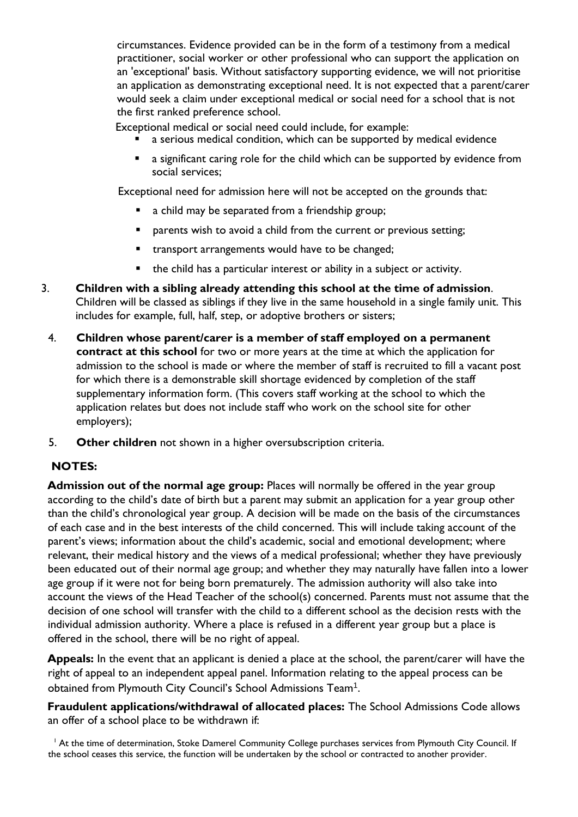circumstances. Evidence provided can be in the form of a testimony from a medical practitioner, social worker or other professional who can support the application on an 'exceptional' basis. Without satisfactory supporting evidence, we will not prioritise an application as demonstrating exceptional need. It is not expected that a parent/carer would seek a claim under exceptional medical or social need for a school that is not the first ranked preference school.

Exceptional medical or social need could include, for example:

- a serious medical condition, which can be supported by medical evidence
- **a** a significant caring role for the child which can be supported by evidence from social services;

Exceptional need for admission here will not be accepted on the grounds that:

- a child may be separated from a friendship group;
- **P** parents wish to avoid a child from the current or previous setting;
- **\*** transport arrangements would have to be changed;
- the child has a particular interest or ability in a subject or activity.
- 3. **Children with a sibling already attending this school at the time of admission**. Children will be classed as siblings if they live in the same household in a single family unit. This includes for example, full, half, step, or adoptive brothers or sisters;
- 4. **Children whose parent/carer is a member of staff employed on a permanent contract at this school** for two or more years at the time at which the application for admission to the school is made or where the member of staff is recruited to fill a vacant post for which there is a demonstrable skill shortage evidenced by completion of the staff supplementary information form. (This covers staff working at the school to which the application relates but does not include staff who work on the school site for other employers);
- 5. **Other children** not shown in a higher oversubscription criteria.

# **NOTES:**

**Admission out of the normal age group:** Places will normally be offered in the year group according to the child's date of birth but a parent may submit an application for a year group other than the child's chronological year group. A decision will be made on the basis of the circumstances of each case and in the best interests of the child concerned. This will include taking account of the parent's views; information about the child's academic, social and emotional development; where relevant, their medical history and the views of a medical professional; whether they have previously been educated out of their normal age group; and whether they may naturally have fallen into a lower age group if it were not for being born prematurely. The admission authority will also take into account the views of the Head Teacher of the school(s) concerned. Parents must not assume that the decision of one school will transfer with the child to a different school as the decision rests with the individual admission authority. Where a place is refused in a different year group but a place is offered in the school, there will be no right of appeal.

**Appeals:** In the event that an applicant is denied a place at the school, the parent/carer will have the right of appeal to an independent appeal panel. Information relating to the appeal process can be obtained from Plymouth City Council's School Admissions Team<sup>1</sup>.

**Fraudulent applications/withdrawal of allocated places:** The School Admissions Code allows an offer of a school place to be withdrawn if: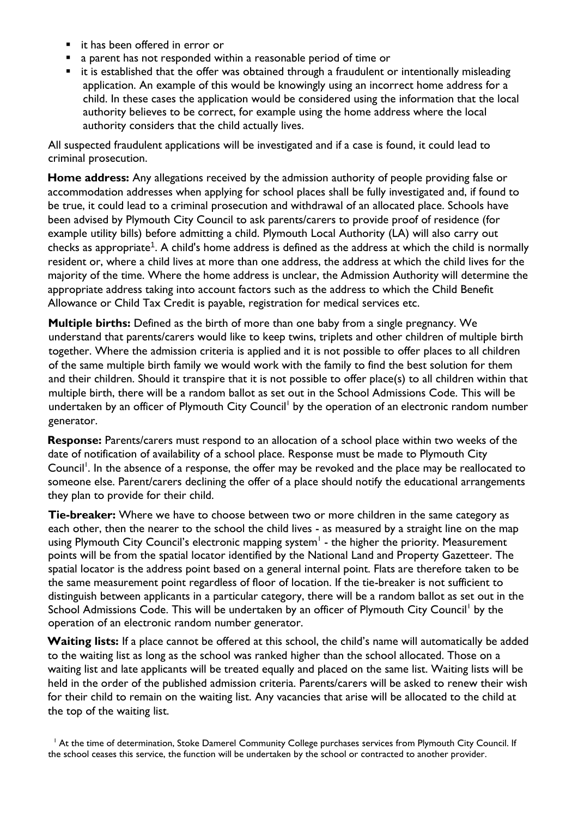- it has been offered in error or
- a parent has not responded within a reasonable period of time or
- it is established that the offer was obtained through a fraudulent or intentionally misleading application. An example of this would be knowingly using an incorrect home address for a child. In these cases the application would be considered using the information that the local authority believes to be correct, for example using the home address where the local authority considers that the child actually lives.

All suspected fraudulent applications will be investigated and if a case is found, it could lead to criminal prosecution.

**Home address:** Any allegations received by the admission authority of people providing false or accommodation addresses when applying for school places shall be fully investigated and, if found to be true, it could lead to a criminal prosecution and withdrawal of an allocated place. Schools have been advised by Plymouth City Council to ask parents/carers to provide proof of residence (for example utility bills) before admitting a child. Plymouth Local Authority (LA) will also carry out checks as appropriate $^{\rm 1}$ . A child's home address is defined as the address at which the child is normally resident or, where a child lives at more than one address, the address at which the child lives for the majority of the time. Where the home address is unclear, the Admission Authority will determine the appropriate address taking into account factors such as the address to which the Child Benefit Allowance or Child Tax Credit is payable, registration for medical services etc.

**Multiple births:** Defined as the birth of more than one baby from a single pregnancy. We understand that parents/carers would like to keep twins, triplets and other children of multiple birth together. Where the admission criteria is applied and it is not possible to offer places to all children of the same multiple birth family we would work with the family to find the best solution for them and their children. Should it transpire that it is not possible to offer place(s) to all children within that multiple birth, there will be a random ballot as set out in the School Admissions Code. This will be undertaken by an officer of Plymouth City Council<sup>l</sup> by the operation of an electronic random number generator.

**Response:** Parents/carers must respond to an allocation of a school place within two weeks of the date of notification of availability of a school place. Response must be made to Plymouth City Council<sup>1</sup>. In the absence of a response, the offer may be revoked and the place may be reallocated to someone else. Parent/carers declining the offer of a place should notify the educational arrangements they plan to provide for their child.

**Tie-breaker:** Where we have to choose between two or more children in the same category as each other, then the nearer to the school the child lives - as measured by a straight line on the map using Plymouth City Council's electronic mapping system $^{\mathsf{I}}$  - the higher the priority. Measurement points will be from the spatial locator identified by the National Land and Property Gazetteer. The spatial locator is the address point based on a general internal point. Flats are therefore taken to be the same measurement point regardless of floor of location. If the tie-breaker is not sufficient to distinguish between applicants in a particular category, there will be a random ballot as set out in the School Admissions Code. This will be undertaken by an officer of Plymouth City Council<sup>1</sup> by the operation of an electronic random number generator.

Waiting lists: If a place cannot be offered at this school, the child's name will automatically be added to the waiting list as long as the school was ranked higher than the school allocated. Those on a waiting list and late applicants will be treated equally and placed on the same list. Waiting lists will be held in the order of the published admission criteria. Parents/carers will be asked to renew their wish for their child to remain on the waiting list. Any vacancies that arise will be allocated to the child at the top of the waiting list.

<sup>&</sup>lt;sup>1</sup> At the time of determination, Stoke Damerel Community College purchases services from Plymouth City Council. If the school ceases this service, the function will be undertaken by the school or contracted to another provider.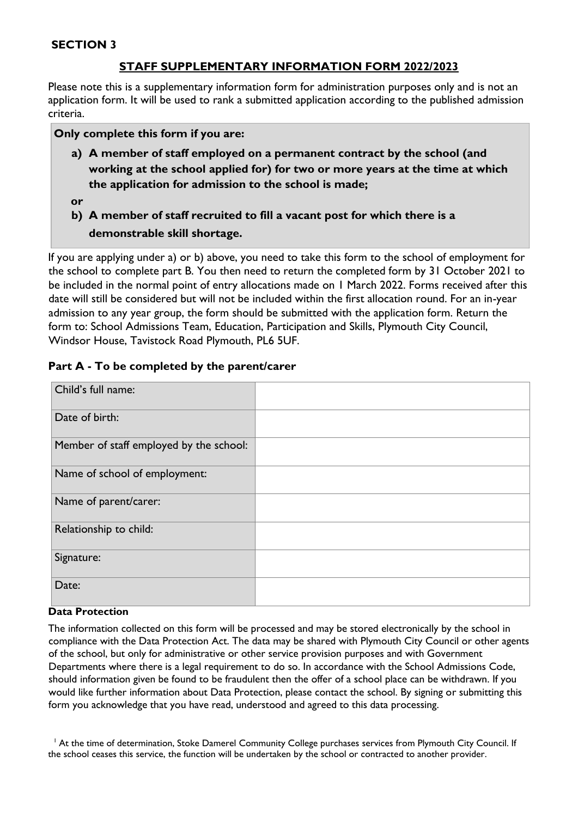### **SECTION 3**

### **STAFF SUPPLEMENTARY INFORMATION FORM 2022/2023**

Please note this is a supplementary information form for administration purposes only and is not an application form. It will be used to rank a submitted application according to the published admission criteria.

#### **Only complete this form if you are:**

- **a) A member of staff employed on a permanent contract by the school (and working at the school applied for) for two or more years at the time at which the application for admission to the school is made;**
- **or**
- **b) A member of staff recruited to fill a vacant post for which there is a demonstrable skill shortage.**

If you are applying under a) or b) above, you need to take this form to the school of employment for the school to complete part B. You then need to return the completed form by 31 October 2021 to be included in the normal point of entry allocations made on 1 March 2022. Forms received after this date will still be considered but will not be included within the first allocation round. For an in-year admission to any year group, the form should be submitted with the application form. Return the form to: School Admissions Team, Education, Participation and Skills, Plymouth City Council, Windsor House, Tavistock Road Plymouth, PL6 5UF.

| Child's full name:                      |  |
|-----------------------------------------|--|
| Date of birth:                          |  |
| Member of staff employed by the school: |  |
| Name of school of employment:           |  |
|                                         |  |
| Name of parent/carer:                   |  |
| Relationship to child:                  |  |
| Signature:                              |  |
| Date:                                   |  |

### **Part A - To be completed by the parent/carer**

#### **Data Protection**

The information collected on this form will be processed and may be stored electronically by the school in compliance with the Data Protection Act. The data may be shared with Plymouth City Council or other agents of the school, but only for administrative or other service provision purposes and with Government Departments where there is a legal requirement to do so. In accordance with the School Admissions Code, should information given be found to be fraudulent then the offer of a school place can be withdrawn. If you would like further information about Data Protection, please contact the school. By signing or submitting this form you acknowledge that you have read, understood and agreed to this data processing.

<sup>&</sup>lt;sup>1</sup> At the time of determination, Stoke Damerel Community College purchases services from Plymouth City Council. If the school ceases this service, the function will be undertaken by the school or contracted to another provider.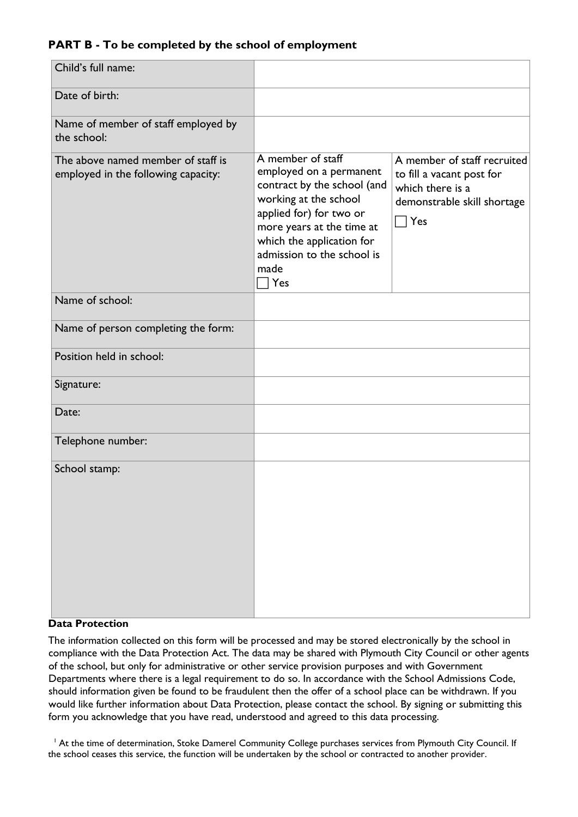## **PART B - To be completed by the school of employment**

| Child's full name:                                                        |                                                                                                                                                                                                                                                 |                                                                                                                                |
|---------------------------------------------------------------------------|-------------------------------------------------------------------------------------------------------------------------------------------------------------------------------------------------------------------------------------------------|--------------------------------------------------------------------------------------------------------------------------------|
| Date of birth:                                                            |                                                                                                                                                                                                                                                 |                                                                                                                                |
| Name of member of staff employed by<br>the school:                        |                                                                                                                                                                                                                                                 |                                                                                                                                |
| The above named member of staff is<br>employed in the following capacity: | A member of staff<br>employed on a permanent<br>contract by the school (and<br>working at the school<br>applied for) for two or<br>more years at the time at<br>which the application for<br>admission to the school is<br>made<br>$\sqcap$ Yes | A member of staff recruited<br>to fill a vacant post for<br>which there is a<br>demonstrable skill shortage<br>$\sqsupset$ Yes |
| Name of school:                                                           |                                                                                                                                                                                                                                                 |                                                                                                                                |
| Name of person completing the form:                                       |                                                                                                                                                                                                                                                 |                                                                                                                                |
| Position held in school:                                                  |                                                                                                                                                                                                                                                 |                                                                                                                                |
| Signature:                                                                |                                                                                                                                                                                                                                                 |                                                                                                                                |
| Date:                                                                     |                                                                                                                                                                                                                                                 |                                                                                                                                |
| Telephone number:                                                         |                                                                                                                                                                                                                                                 |                                                                                                                                |
| School stamp:                                                             |                                                                                                                                                                                                                                                 |                                                                                                                                |

#### **Data Protection**

The information collected on this form will be processed and may be stored electronically by the school in compliance with the Data Protection Act. The data may be shared with Plymouth City Council or other agents of the school, but only for administrative or other service provision purposes and with Government Departments where there is a legal requirement to do so. In accordance with the School Admissions Code, should information given be found to be fraudulent then the offer of a school place can be withdrawn. If you would like further information about Data Protection, please contact the school. By signing or submitting this form you acknowledge that you have read, understood and agreed to this data processing.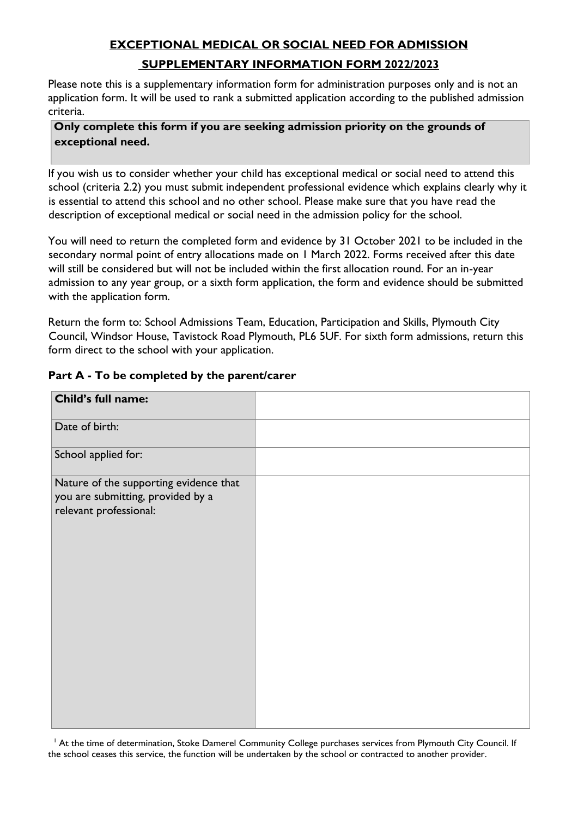# **EXCEPTIONAL MEDICAL OR SOCIAL NEED FOR ADMISSION**

## **SUPPLEMENTARY INFORMATION FORM 2022/2023**

Please note this is a supplementary information form for administration purposes only and is not an application form. It will be used to rank a submitted application according to the published admission criteria.

### **Only complete this form if you are seeking admission priority on the grounds of exceptional need.**

If you wish us to consider whether your child has exceptional medical or social need to attend this school (criteria 2.2) you must submit independent professional evidence which explains clearly why it is essential to attend this school and no other school. Please make sure that you have read the description of exceptional medical or social need in the admission policy for the school.

You will need to return the completed form and evidence by 31 October 2021 to be included in the secondary normal point of entry allocations made on 1 March 2022. Forms received after this date will still be considered but will not be included within the first allocation round. For an in-year admission to any year group, or a sixth form application, the form and evidence should be submitted with the application form.

Return the form to: School Admissions Team, Education, Participation and Skills, Plymouth City Council, Windsor House, Tavistock Road Plymouth, PL6 5UF. For sixth form admissions, return this form direct to the school with your application.

| Child's full name:                                                                                    |  |
|-------------------------------------------------------------------------------------------------------|--|
| Date of birth:                                                                                        |  |
| School applied for:                                                                                   |  |
| Nature of the supporting evidence that<br>you are submitting, provided by a<br>relevant professional: |  |
|                                                                                                       |  |

### **Part A - To be completed by the parent/carer**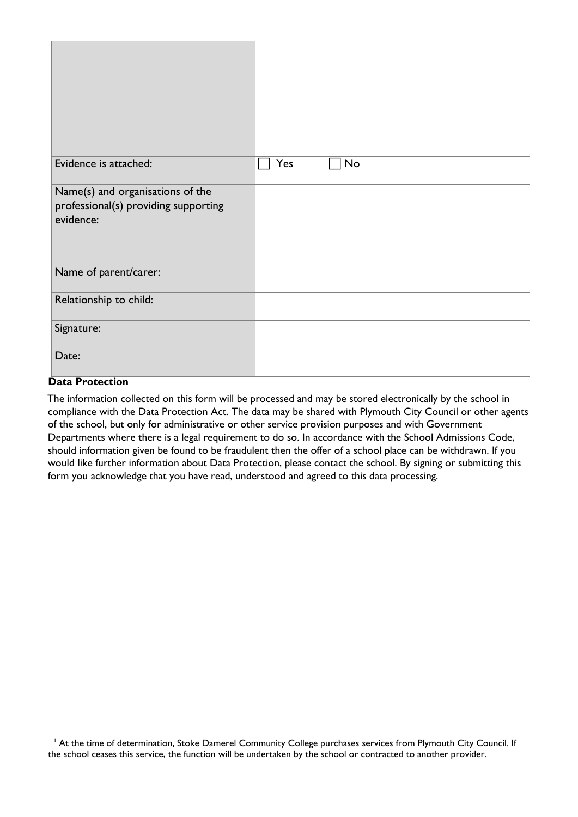| Evidence is attached:                                                                 | No<br>Yes |
|---------------------------------------------------------------------------------------|-----------|
| Name(s) and organisations of the<br>professional(s) providing supporting<br>evidence: |           |
| Name of parent/carer:                                                                 |           |
| Relationship to child:                                                                |           |
| Signature:                                                                            |           |
| Date:                                                                                 |           |

#### **Data Protection**

The information collected on this form will be processed and may be stored electronically by the school in compliance with the Data Protection Act. The data may be shared with Plymouth City Council or other agents of the school, but only for administrative or other service provision purposes and with Government Departments where there is a legal requirement to do so. In accordance with the School Admissions Code, should information given be found to be fraudulent then the offer of a school place can be withdrawn. If you would like further information about Data Protection, please contact the school. By signing or submitting this form you acknowledge that you have read, understood and agreed to this data processing.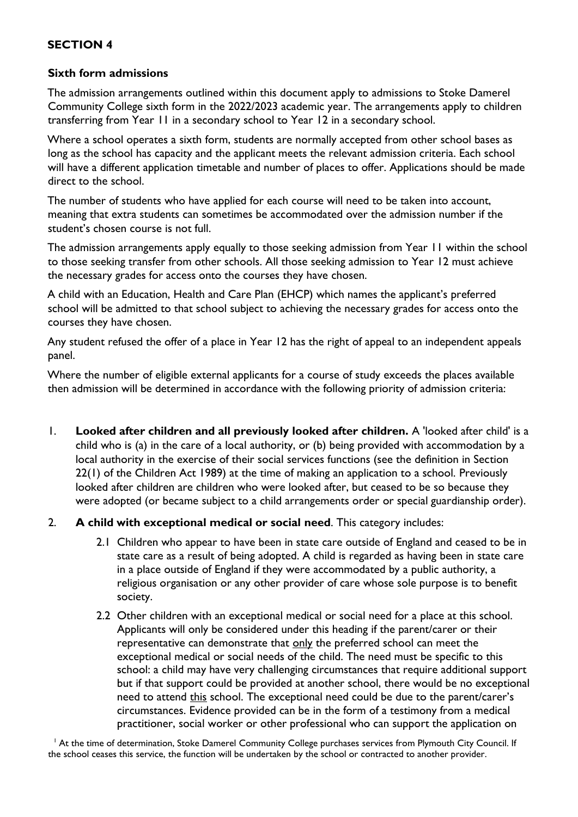# **SECTION 4**

## **Sixth form admissions**

The admission arrangements outlined within this document apply to admissions to Stoke Damerel Community College sixth form in the 2022/2023 academic year. The arrangements apply to children transferring from Year 11 in a secondary school to Year 12 in a secondary school.

Where a school operates a sixth form, students are normally accepted from other school bases as long as the school has capacity and the applicant meets the relevant admission criteria. Each school will have a different application timetable and number of places to offer. Applications should be made direct to the school.

The number of students who have applied for each course will need to be taken into account, meaning that extra students can sometimes be accommodated over the admission number if the student's chosen course is not full.

The admission arrangements apply equally to those seeking admission from Year 11 within the school to those seeking transfer from other schools. All those seeking admission to Year 12 must achieve the necessary grades for access onto the courses they have chosen.

A child with an Education, Health and Care Plan (EHCP) which names the applicant's preferred school will be admitted to that school subject to achieving the necessary grades for access onto the courses they have chosen.

Any student refused the offer of a place in Year 12 has the right of appeal to an independent appeals panel.

Where the number of eligible external applicants for a course of study exceeds the places available then admission will be determined in accordance with the following priority of admission criteria:

1. **Looked after children and all previously looked after children.** A 'looked after child' is a child who is (a) in the care of a local authority, or (b) being provided with accommodation by a local authority in the exercise of their social services functions (see the definition in Section 22(1) of the Children Act 1989) at the time of making an application to a school. Previously looked after children are children who were looked after, but ceased to be so because they were adopted (or became subject to a child arrangements order or special guardianship order).

### 2. **A child with exceptional medical or social need**. This category includes:

- 2.1 Children who appear to have been in state care outside of England and ceased to be in state care as a result of being adopted. A child is regarded as having been in state care in a place outside of England if they were accommodated by a public authority, a religious organisation or any other provider of care whose sole purpose is to benefit society.
- 2.2 Other children with an exceptional medical or social need for a place at this school. Applicants will only be considered under this heading if the parent/carer or their representative can demonstrate that only the preferred school can meet the exceptional medical or social needs of the child. The need must be specific to this school: a child may have very challenging circumstances that require additional support but if that support could be provided at another school, there would be no exceptional need to attend this school. The exceptional need could be due to the parent/carer's circumstances. Evidence provided can be in the form of a testimony from a medical practitioner, social worker or other professional who can support the application on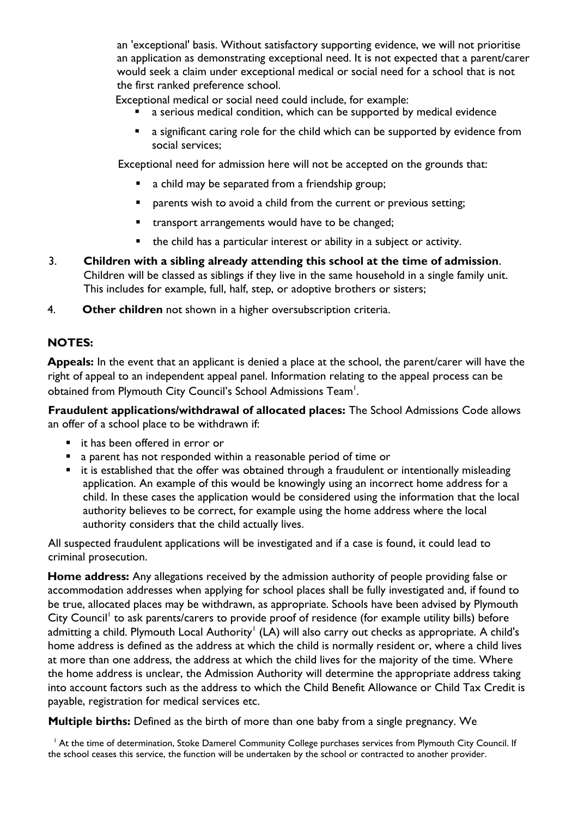an 'exceptional' basis. Without satisfactory supporting evidence, we will not prioritise an application as demonstrating exceptional need. It is not expected that a parent/carer would seek a claim under exceptional medical or social need for a school that is not the first ranked preference school.

Exceptional medical or social need could include, for example:

- a serious medical condition, which can be supported by medical evidence
- a significant caring role for the child which can be supported by evidence from social services;

Exceptional need for admission here will not be accepted on the grounds that:

- a child may be separated from a friendship group;
- **P** parents wish to avoid a child from the current or previous setting;
- **\*** transport arrangements would have to be changed;
- the child has a particular interest or ability in a subject or activity.
- 3. **Children with a sibling already attending this school at the time of admission**. Children will be classed as siblings if they live in the same household in a single family unit. This includes for example, full, half, step, or adoptive brothers or sisters;
- 4. **Other children** not shown in a higher oversubscription criteria.

### **NOTES:**

**Appeals:** In the event that an applicant is denied a place at the school, the parent/carer will have the right of appeal to an independent appeal panel. Information relating to the appeal process can be obtained from Plymouth City Council's School Admissions Team $^{\mathsf{l}}.$ 

**Fraudulent applications/withdrawal of allocated places:** The School Admissions Code allows an offer of a school place to be withdrawn if:

- it has been offered in error or
- a parent has not responded within a reasonable period of time or
- it is established that the offer was obtained through a fraudulent or intentionally misleading application. An example of this would be knowingly using an incorrect home address for a child. In these cases the application would be considered using the information that the local authority believes to be correct, for example using the home address where the local authority considers that the child actually lives.

All suspected fraudulent applications will be investigated and if a case is found, it could lead to criminal prosecution.

**Home address:** Any allegations received by the admission authority of people providing false or accommodation addresses when applying for school places shall be fully investigated and, if found to be true, allocated places may be withdrawn, as appropriate. Schools have been advised by Plymouth City Council<sup>1</sup> to ask parents/carers to provide proof of residence (for example utility bills) before admitting a child. Plymouth Local Authority<sup>'</sup> (LA) will also carry out checks as appropriate. A child's home address is defined as the address at which the child is normally resident or, where a child lives at more than one address, the address at which the child lives for the majority of the time. Where the home address is unclear, the Admission Authority will determine the appropriate address taking into account factors such as the address to which the Child Benefit Allowance or Child Tax Credit is payable, registration for medical services etc.

**Multiple births:** Defined as the birth of more than one baby from a single pregnancy. We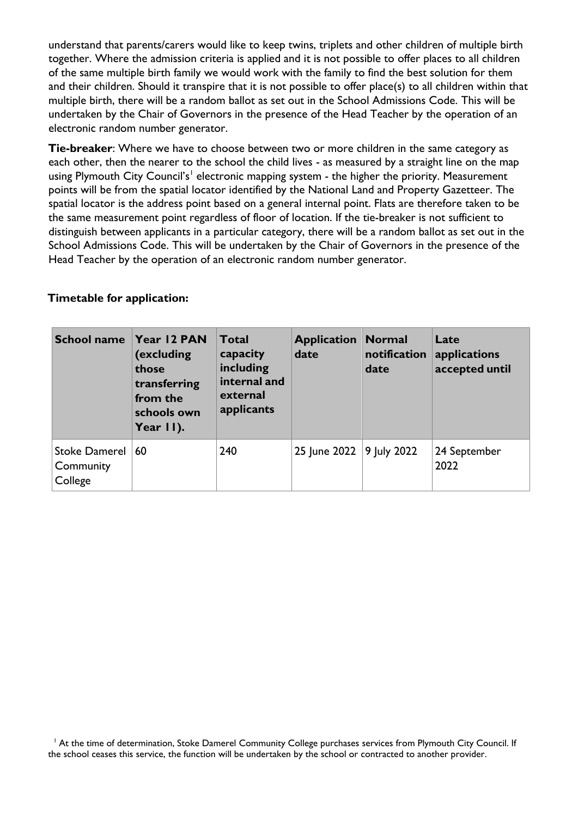understand that parents/carers would like to keep twins, triplets and other children of multiple birth together. Where the admission criteria is applied and it is not possible to offer places to all children of the same multiple birth family we would work with the family to find the best solution for them and their children. Should it transpire that it is not possible to offer place(s) to all children within that multiple birth, there will be a random ballot as set out in the School Admissions Code. This will be undertaken by the Chair of Governors in the presence of the Head Teacher by the operation of an electronic random number generator.

**Tie-breaker**: Where we have to choose between two or more children in the same category as each other, then the nearer to the school the child lives - as measured by a straight line on the map using Plymouth City Council's<sup>1</sup> electronic mapping system - the higher the priority. Measurement points will be from the spatial locator identified by the National Land and Property Gazetteer. The spatial locator is the address point based on a general internal point. Flats are therefore taken to be the same measurement point regardless of floor of location. If the tie-breaker is not sufficient to distinguish between applicants in a particular category, there will be a random ballot as set out in the School Admissions Code. This will be undertaken by the Chair of Governors in the presence of the Head Teacher by the operation of an electronic random number generator.

#### **Timetable for application:**

| <b>School name</b>                           | Year 12 PAN<br>(excluding<br>those<br>transferring<br>from the<br>schools own<br>Year $  \cdot  $ . | Total<br>capacity<br>including<br>internal and<br>external<br>applicants | <b>Application</b><br>date | Normal<br>notification<br>date | Late<br>applications<br>accepted until |
|----------------------------------------------|-----------------------------------------------------------------------------------------------------|--------------------------------------------------------------------------|----------------------------|--------------------------------|----------------------------------------|
| <b>Stoke Damerel</b><br>Community<br>College | 60                                                                                                  | 240                                                                      | 25 June 2022 9 July 2022   |                                | 24 September<br>2022                   |